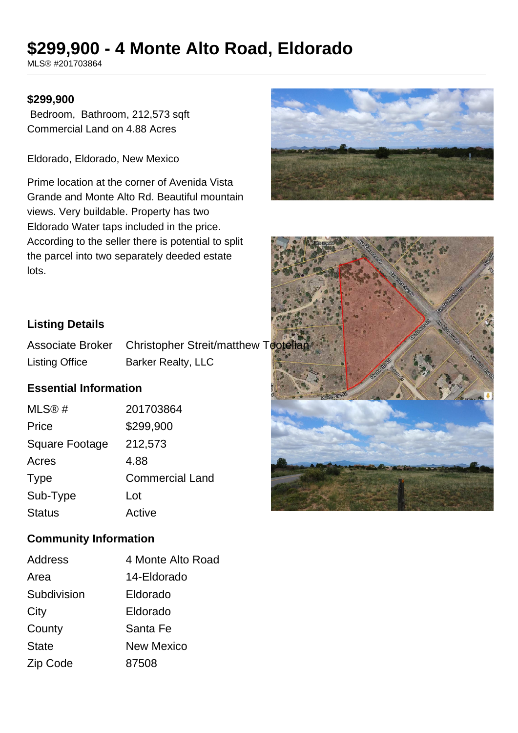# **\$299,900 - 4 Monte Alto Road, Eldorado**

MLS® #201703864

#### **\$299,900**

 Bedroom, Bathroom, 212,573 sqft Commercial Land on 4.88 Acres

Eldorado, Eldorado, New Mexico

Prime location at the corner of Avenida Vista Grande and Monte Alto Rd. Beautiful mountain views. Very buildable. Property has two Eldorado Water taps included in the price. According to the seller there is potential to split the parcel into two separately deeded estate lots.





## **Listing Details**

Associate Broker Christopher Streit/matthew Tootelia Listing Office Barker Realty, LLC

## **Essential Information**

| MLS@#                 | 201703864              |
|-----------------------|------------------------|
| Price                 | \$299,900              |
| <b>Square Footage</b> | 212,573                |
| Acres                 | 4.88                   |
| <b>Type</b>           | <b>Commercial Land</b> |
| Sub-Type              | Lot                    |
| <b>Status</b>         | Active                 |

#### **Community Information**

| Address      | 4 Monte Alto Road |
|--------------|-------------------|
| Area         | 14-Eldorado       |
| Subdivision  | Eldorado          |
| City         | Eldorado          |
| County       | Santa Fe          |
| <b>State</b> | <b>New Mexico</b> |
| Zip Code     | 87508             |